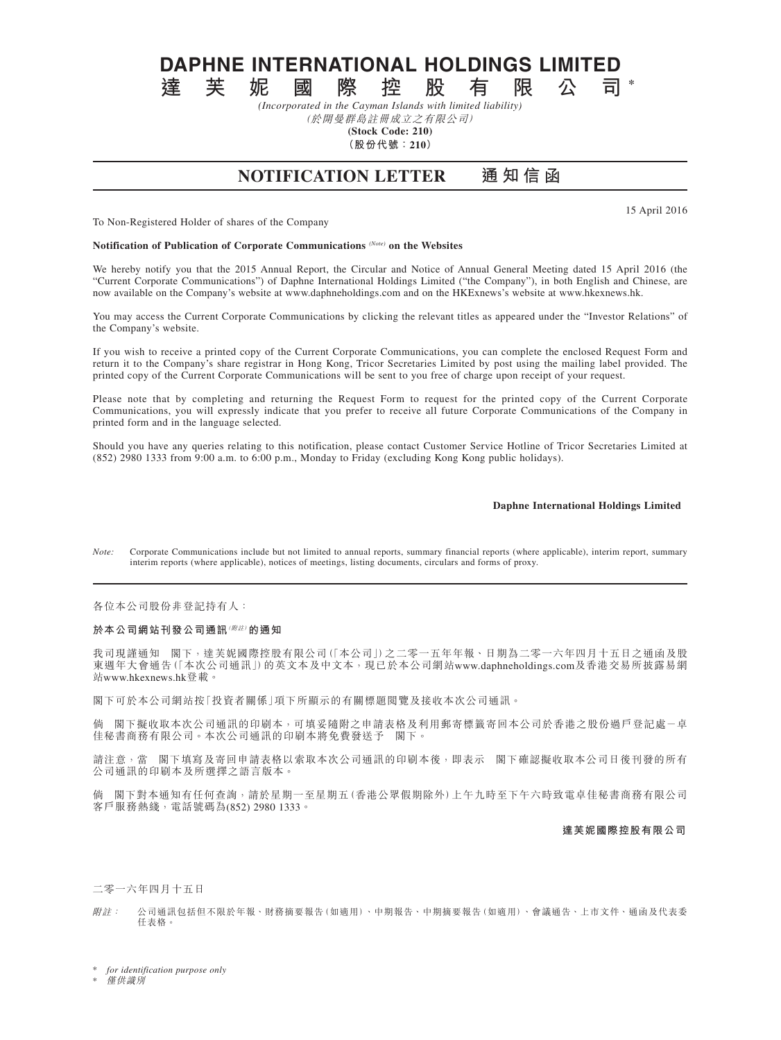**DAPHNE INTERNATIONAL HOLDINGS LIMITED**<br>達 芙 妮 國 際 控 股 有 限 公 司

**達芙妮國際控股有限公司 \*** *(Incorporated in the Cayman Islands with limited liability)*

(於開曼群島註冊成立之有限公司)

**(Stock Code: 210)**

**(股份代號:210)**

# **NOTIFICATION LETTER 通 知 信 函**

15 April 2016

To Non-Registered Holder of shares of the Company

**Notification of Publication of Corporate Communications** *(Note)* **on the Websites**

We hereby notify you that the 2015 Annual Report, the Circular and Notice of Annual General Meeting dated 15 April 2016 (the "Current Corporate Communications") of Daphne International Holdings Limited ("the Company"), in both English and Chinese, are now available on the Company's website at www.daphneholdings.com and on the HKExnews's website at www.hkexnews.hk.

You may access the Current Corporate Communications by clicking the relevant titles as appeared under the "Investor Relations" of the Company's website.

If you wish to receive a printed copy of the Current Corporate Communications, you can complete the enclosed Request Form and return it to the Company's share registrar in Hong Kong, Tricor Secretaries Limited by post using the mailing label provided. The printed copy of the Current Corporate Communications will be sent to you free of charge upon receipt of your request.

Please note that by completing and returning the Request Form to request for the printed copy of the Current Corporate Communications, you will expressly indicate that you prefer to receive all future Corporate Communications of the Company in printed form and in the language selected.

Should you have any queries relating to this notification, please contact Customer Service Hotline of Tricor Secretaries Limited at (852) 2980 1333 from 9:00 a.m. to 6:00 p.m., Monday to Friday (excluding Kong Kong public holidays).

# **Daphne International Holdings Limited**

*Note:* Corporate Communications include but not limited to annual reports, summary financial reports (where applicable), interim report, summary interim reports (where applicable), notices of meetings, listing documents, circulars and forms of proxy.

各位本公司股份非登記持有人:

# **於本公司網站刊發公司通訊**(附註)**的通知**

我司現謹通知 閣下,達芙妮國際控股有限公司(「本公司」)之二零一五年年報、日期為二零一六年四月十五日之通函及股 東週年大會通告(「本次公司通訊」)的英文本及中文本,現已於本公司網站www.daphneholdings.com及香港交易所披露易網 站www.hkexnews.hk登載。

閣下可於本公司網站按「投資者關係」項下所顯示的有關標題閱覽及接收本次公司通訊。

倘 閣下擬收取本次公司通訊的印刷本,可填妥隨附之申請表格及利用郵寄標籤寄回本公司於香港之股份過戶登記處-卓 佳秘書商務有限公司。本次公司通訊的印刷本將免費發送予 閣下。

請注意,當 閣下填寫及寄回申請表格以索取本次公司通訊的印刷本後,即表示 閣下確認擬收取本公司日後刊發的所有 公司通訊的印刷本及所選擇之語言版本。

倘 閣下對本通知有任何查詢,請於星期一至星期五(香港公眾假期除外)上午九時至下午六時致電卓佳秘書商務有限公司 客戶服務熱綫,電話號碼為(852) 2980 1333。

#### **達芙妮國際控股有限公司**

# 二零一六年四月十五日

附註: 公司通訊包括但不限於年報、財務摘要報告(如適用)、中期報告、中期摘要報告(如適用)、會議通告、上市文件、通函及代表委 任表格。

 $for$  *identification purpose only* 

**僅供識別**